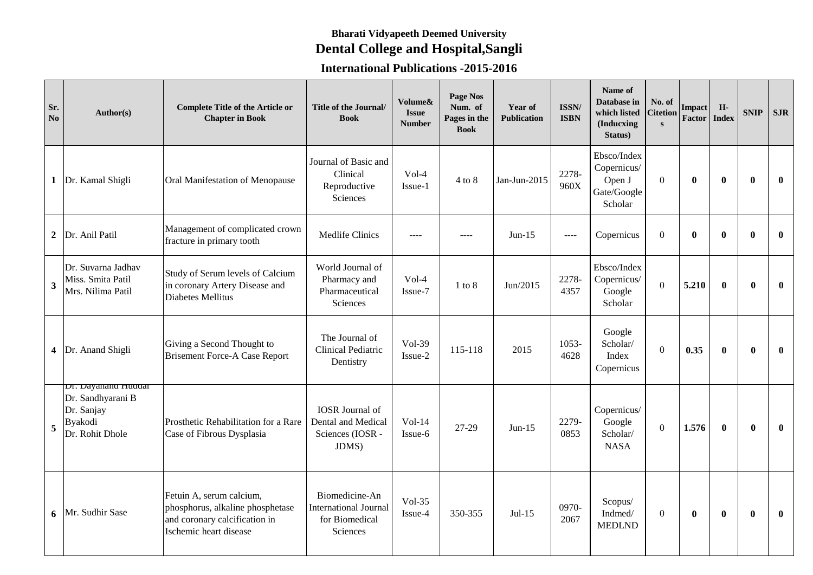## **Bharati Vidyapeeth Deemed University Dental College and Hospital,Sangli**

## **International Publications -2015-2016**

| Sr.<br>No               | Author(s)                                                                            | <b>Complete Title of the Article or</b><br><b>Chapter in Book</b>                                                       | Title of the Journal/<br><b>Book</b>                                         | Volume&<br><b>Issue</b><br><b>Number</b> | Page Nos<br>Num. of<br>Pages in the<br><b>Book</b> | Year of<br><b>Publication</b> | ISSN/<br><b>ISBN</b> | Name of<br>Database in<br>which listed<br>(Inducxing<br>Status) | No. of<br>Citetion<br>$\mathbf{s}$ | Impact<br>Factor | H-<br><b>Index</b> | <b>SNIP</b>  | <b>SJR</b>   |
|-------------------------|--------------------------------------------------------------------------------------|-------------------------------------------------------------------------------------------------------------------------|------------------------------------------------------------------------------|------------------------------------------|----------------------------------------------------|-------------------------------|----------------------|-----------------------------------------------------------------|------------------------------------|------------------|--------------------|--------------|--------------|
| $\mathbf 1$             | Dr. Kamal Shigli                                                                     | Oral Manifestation of Menopause                                                                                         | Journal of Basic and<br>Clinical<br>Reproductive<br>Sciences                 | $Vol-4$<br>Issue-1                       | $4$ to $8$                                         | Jan-Jun-2015                  | 2278-<br>960X        | Ebsco/Index<br>Copernicus/<br>Open J<br>Gate/Google<br>Scholar  | $\overline{0}$                     | $\mathbf{0}$     | $\mathbf{0}$       | $\mathbf{0}$ | $\mathbf{0}$ |
| $\mathbf{2}$            | Dr. Anil Patil                                                                       | Management of complicated crown<br>fracture in primary tooth                                                            | Medlife Clinics                                                              | ----                                     | $---$                                              | $Jun-15$                      | $---$                | Copernicus                                                      | $\Omega$                           | $\mathbf{0}$     | $\bf{0}$           | $\mathbf{0}$ | $\mathbf{0}$ |
| $\overline{\mathbf{3}}$ | Dr. Suvarna Jadhav<br>Miss. Smita Patil<br>Mrs. Nilima Patil                         | Study of Serum levels of Calcium<br>in coronary Artery Disease and<br>Diabetes Mellitus                                 | World Journal of<br>Pharmacy and<br>Pharmaceutical<br>Sciences               | Vol-4<br>Issue-7                         | $1$ to $8\,$                                       | Jun/2015                      | 2278-<br>4357        | Ebsco/Index<br>Copernicus/<br>Google<br>Scholar                 | $\overline{0}$                     | 5.210            | $\mathbf{0}$       | $\mathbf{0}$ | $\mathbf{0}$ |
| 4                       | Dr. Anand Shigli                                                                     | Giving a Second Thought to<br><b>Brisement Force-A Case Report</b>                                                      | The Journal of<br><b>Clinical Pediatric</b><br>Dentistry                     | $Vol-39$<br>Issue-2                      | 115-118                                            | 2015                          | 1053-<br>4628        | Google<br>Scholar/<br>Index<br>Copernicus                       | $\Omega$                           | 0.35             | $\bf{0}$           | $\mathbf{0}$ | $\mathbf{0}$ |
| 5                       | Dr. Dayanand Huddar<br>Dr. Sandhyarani B<br>Dr. Sanjay<br>Byakodi<br>Dr. Rohit Dhole | Prosthetic Rehabilitation for a Rare<br>Case of Fibrous Dysplasia                                                       | <b>IOSR</b> Journal of<br>Dental and Medical<br>Sciences (IOSR -<br>JDMS)    | $Vol-14$<br>Issue-6                      | 27-29                                              | $Jun-15$                      | 2279-<br>0853        | Copernicus/<br>Google<br>Scholar/<br><b>NASA</b>                | $\mathbf{0}$                       | 1.576            | $\bf{0}$           | $\mathbf{0}$ | $\mathbf{0}$ |
| 6                       | Mr. Sudhir Sase                                                                      | Fetuin A, serum calcium,<br>phosphorus, alkaline phosphetase<br>and coronary calcification in<br>Ischemic heart disease | Biomedicine-An<br><b>International Journal</b><br>for Biomedical<br>Sciences | $Vol-35$<br>Issue-4                      | 350-355                                            | $Jul-15$                      | 0970-<br>2067        | Scopus/<br>Indmed/<br><b>MEDLND</b>                             | $\mathbf{0}$                       | $\bf{0}$         | $\bf{0}$           | $\mathbf{0}$ | $\mathbf{0}$ |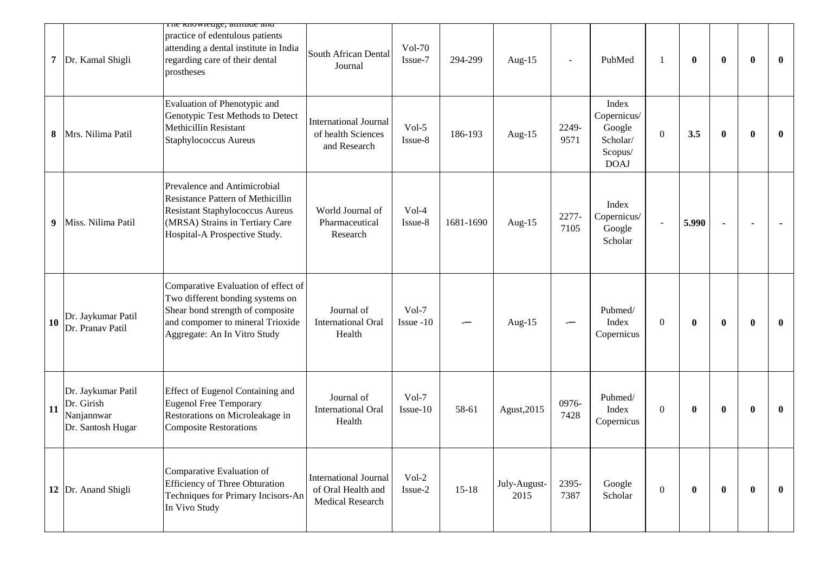|                                                                           | The Knowledge, attitude and                                                                                                                                                     |                                                                        |                          |           |                      |                |                                                                      |                |              |              |          |              |
|---------------------------------------------------------------------------|---------------------------------------------------------------------------------------------------------------------------------------------------------------------------------|------------------------------------------------------------------------|--------------------------|-----------|----------------------|----------------|----------------------------------------------------------------------|----------------|--------------|--------------|----------|--------------|
| Dr. Kamal Shigli<br>7                                                     | practice of edentulous patients<br>attending a dental institute in India<br>regarding care of their dental<br>prostheses                                                        | South African Dental<br>Journal                                        | <b>Vol-70</b><br>Issue-7 | 294-299   | Aug-15               | $\overline{a}$ | PubMed                                                               |                | $\bf{0}$     | $\bf{0}$     | $\bf{0}$ | $\mathbf{0}$ |
| Mrs. Nilima Patil<br>8                                                    | Evaluation of Phenotypic and<br>Genotypic Test Methods to Detect<br>Methicillin Resistant<br>Staphylococcus Aureus                                                              | <b>International Journal</b><br>of health Sciences<br>and Research     | Vol-5<br>Issue-8         | 186-193   | Aug-15               | 2249-<br>9571  | Index<br>Copernicus/<br>Google<br>Scholar/<br>Scopus/<br><b>DOAJ</b> | $\mathbf{0}$   | 3.5          | $\bf{0}$     | $\bf{0}$ | $\mathbf{0}$ |
| Miss. Nilima Patil<br>9                                                   | Prevalence and Antimicrobial<br>Resistance Pattern of Methicillin<br><b>Resistant Staphylococcus Aureus</b><br>(MRSA) Strains in Tertiary Care<br>Hospital-A Prospective Study. | World Journal of<br>Pharmaceutical<br>Research                         | $Vol-4$<br>Issue-8       | 1681-1690 | Aug- $15$            | 2277-<br>7105  | Index<br>Copernicus/<br>Google<br>Scholar                            |                | 5.990        |              |          |              |
| Dr. Jaykumar Patil<br>10<br>Dr. Pranav Patil                              | Comparative Evaluation of effect of<br>Two different bonding systems on<br>Shear bond strength of composite<br>and compomer to mineral Trioxide<br>Aggregate: An In Vitro Study | Journal of<br><b>International Oral</b><br>Health                      | $Vol-7$<br>Issue -10     |           | Aug-15               |                | Pubmed/<br>Index<br>Copernicus                                       | $\overline{0}$ | $\mathbf{0}$ | $\mathbf{0}$ | $\bf{0}$ | $\bf{0}$     |
| Dr. Jaykumar Patil<br>Dr. Girish<br>11<br>Nanjannwar<br>Dr. Santosh Hugar | Effect of Eugenol Containing and<br>Eugenol Free Temporary<br>Restorations on Microleakage in<br><b>Composite Restorations</b>                                                  | Journal of<br><b>International Oral</b><br>Health                      | $Vol-7$<br>Issue-10      | 58-61     | Agust, 2015          | 0976-<br>7428  | Pubmed/<br>Index<br>Copernicus                                       | $\theta$       | $\bf{0}$     | $\bf{0}$     | $\bf{0}$ | $\bf{0}$     |
| 12   Dr. Anand Shigli                                                     | Comparative Evaluation of<br><b>Efficiency of Three Obturation</b><br>Techniques for Primary Incisors-An<br>In Vivo Study                                                       | <b>International Journal</b><br>of Oral Health and<br>Medical Research | $Vol-2$<br>Issue-2       | $15-18$   | July-August-<br>2015 | 2395-<br>7387  | Google<br>Scholar                                                    | $\overline{0}$ | $\bf{0}$     | $\mathbf{0}$ | $\bf{0}$ | $\mathbf{0}$ |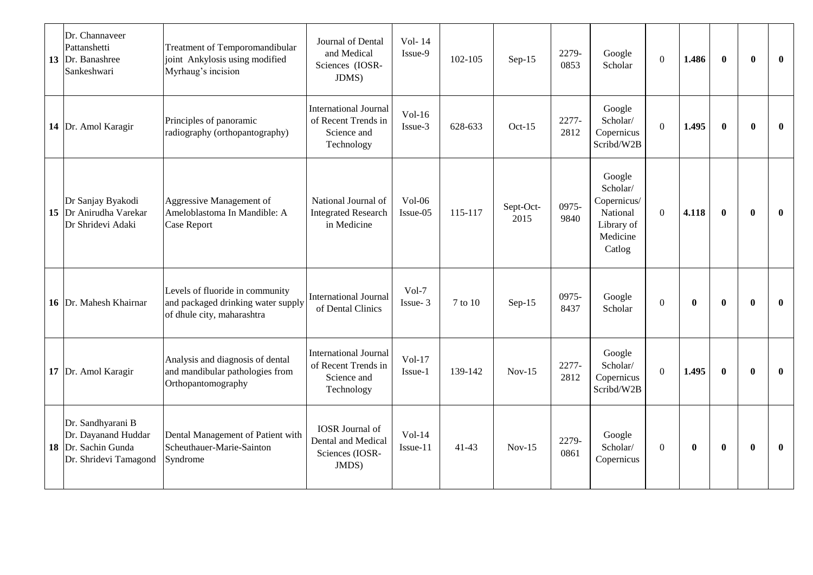| Dr. Channaveer<br>Pattanshetti<br>13 Dr. Banashree<br>Sankeshwari                        | Treatment of Temporomandibular<br>joint Ankylosis using modified<br>Myrhaug's incision              | Journal of Dental<br>and Medical<br>Sciences (IOSR-<br>JDMS)                     | Vol-14<br>Issue-9    | 102-105   | $Sep-15$          | 2279-<br>0853 | Google<br>Scholar                                                                 | $\Omega$       | 1.486        | $\bf{0}$     | $\mathbf{0}$ | $\mathbf{0}$ |
|------------------------------------------------------------------------------------------|-----------------------------------------------------------------------------------------------------|----------------------------------------------------------------------------------|----------------------|-----------|-------------------|---------------|-----------------------------------------------------------------------------------|----------------|--------------|--------------|--------------|--------------|
| 14 Dr. Amol Karagir                                                                      | Principles of panoramic<br>radiography (orthopantography)                                           | <b>International Journal</b><br>of Recent Trends in<br>Science and<br>Technology | $Vol-16$<br>Issue-3  | 628-633   | $Oct-15$          | 2277-<br>2812 | Google<br>Scholar/<br>Copernicus<br>Scribd/W2B                                    | $\mathbf{0}$   | 1.495        | $\bf{0}$     | $\mathbf{0}$ | $\mathbf{0}$ |
| Dr Sanjay Byakodi<br>15 Dr Anirudha Varekar<br>Dr Shridevi Adaki                         | Aggressive Management of<br>Ameloblastoma In Mandible: A<br>Case Report                             | National Journal of<br><b>Integrated Research</b><br>in Medicine                 | $Vol-06$<br>Issue-05 | 115-117   | Sept-Oct-<br>2015 | 0975-<br>9840 | Google<br>Scholar/<br>Copernicus/<br>National<br>Library of<br>Medicine<br>Catlog | $\overline{0}$ | 4.118        | $\bf{0}$     | $\mathbf{0}$ | $\mathbf{0}$ |
| 16 Dr. Mahesh Khairnar                                                                   | Levels of fluoride in community<br>and packaged drinking water supply<br>of dhule city, maharashtra | <b>International Journal</b><br>of Dental Clinics                                | $Vol-7$<br>Issue-3   | 7 to 10   | $Sep-15$          | 0975-<br>8437 | Google<br>Scholar                                                                 | $\Omega$       | $\mathbf{0}$ | $\mathbf{0}$ | $\mathbf{0}$ | $\mathbf{0}$ |
| 17 Dr. Amol Karagir                                                                      | Analysis and diagnosis of dental<br>and mandibular pathologies from<br>Orthopantomography           | <b>International Journal</b><br>of Recent Trends in<br>Science and<br>Technology | $Vol-17$<br>Issue-1  | 139-142   | $Nov-15$          | 2277-<br>2812 | Google<br>Scholar/<br>Copernicus<br>Scribd/W2B                                    | $\overline{0}$ | 1.495        | $\mathbf{0}$ | $\mathbf{0}$ | $\mathbf{0}$ |
| Dr. Sandhyarani B<br>Dr. Dayanand Huddar<br>18 Dr. Sachin Gunda<br>Dr. Shridevi Tamagond | Dental Management of Patient with<br>Scheuthauer-Marie-Sainton<br>Syndrome                          | <b>IOSR</b> Journal of<br>Dental and Medical<br>Sciences (IOSR-<br>JMDS)         | $Vol-14$<br>Issue-11 | $41 - 43$ | $Nov-15$          | 2279-<br>0861 | Google<br>Scholar/<br>Copernicus                                                  | $\mathbf{0}$   | $\mathbf{0}$ | $\bf{0}$     | $\mathbf{0}$ | $\bf{0}$     |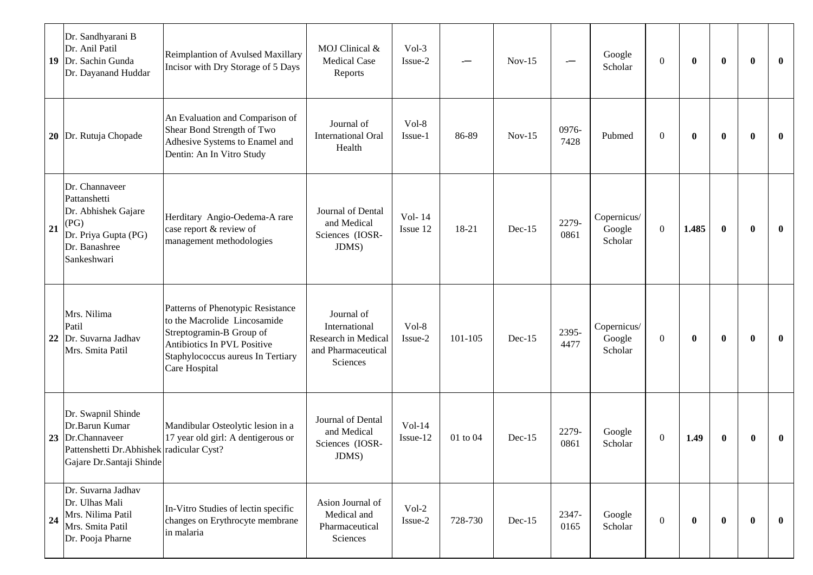| 19 | Dr. Sandhyarani B<br>Dr. Anil Patil<br>Dr. Sachin Gunda<br>Dr. Dayanand Huddar                                                 | Reimplantion of Avulsed Maxillary<br>Incisor with Dry Storage of 5 Days                                                                                                            | MOJ Clinical &<br><b>Medical Case</b><br>Reports                                     | $Vol-3$<br>Issue-2   |          | $Nov-15$ | -             | Google<br>Scholar                | $\mathbf{0}$ | $\mathbf{0}$ | $\mathbf{0}$ | $\bf{0}$ | $\mathbf{0}$ |
|----|--------------------------------------------------------------------------------------------------------------------------------|------------------------------------------------------------------------------------------------------------------------------------------------------------------------------------|--------------------------------------------------------------------------------------|----------------------|----------|----------|---------------|----------------------------------|--------------|--------------|--------------|----------|--------------|
|    | 20 Dr. Rutuja Chopade                                                                                                          | An Evaluation and Comparison of<br>Shear Bond Strength of Two<br>Adhesive Systems to Enamel and<br>Dentin: An In Vitro Study                                                       | Journal of<br><b>International Oral</b><br>Health                                    | Vol-8<br>Issue-1     | 86-89    | $Nov-15$ | 0976-<br>7428 | Pubmed                           | $\mathbf{0}$ | $\bf{0}$     | $\bf{0}$     | $\bf{0}$ | $\mathbf{0}$ |
| 21 | Dr. Channaveer<br>Pattanshetti<br>Dr. Abhishek Gajare<br>(PG)<br>Dr. Priya Gupta (PG)<br>Dr. Banashree<br>Sankeshwari          | Herditary Angio-Oedema-A rare<br>case report & review of<br>management methodologies                                                                                               | Journal of Dental<br>and Medical<br>Sciences (IOSR-<br>JDMS)                         | Vol-14<br>Issue 12   | 18-21    | $Dec-15$ | 2279-<br>0861 | Copernicus/<br>Google<br>Scholar | $\mathbf{0}$ | 1.485        | $\mathbf{0}$ | $\bf{0}$ | $\mathbf{0}$ |
| 22 | Mrs. Nilima<br>Patil<br>Dr. Suvarna Jadhav<br>Mrs. Smita Patil                                                                 | Patterns of Phenotypic Resistance<br>to the Macrolide Lincosamide<br>Streptogramin-B Group of<br>Antibiotics In PVL Positive<br>Staphylococcus aureus In Tertiary<br>Care Hospital | Journal of<br>International<br>Research in Medical<br>and Pharmaceutical<br>Sciences | Vol-8<br>Issue-2     | 101-105  | $Dec-15$ | 2395-<br>4477 | Copernicus/<br>Google<br>Scholar | $\mathbf{0}$ | $\bf{0}$     | $\bf{0}$     | $\bf{0}$ | $\mathbf{0}$ |
| 23 | Dr. Swapnil Shinde<br>Dr.Barun Kumar<br>Dr.Channaveer<br>Pattenshetti Dr. Abhishek radicular Cyst?<br>Gajare Dr.Santaji Shinde | Mandibular Osteolytic lesion in a<br>17 year old girl: A dentigerous or                                                                                                            | Journal of Dental<br>and Medical<br>Sciences (IOSR-<br>JDMS)                         | $Vol-14$<br>Issue-12 | 01 to 04 | $Dec-15$ | 2279-<br>0861 | Google<br>Scholar                | $\mathbf{0}$ | 1.49         | $\bf{0}$     | $\bf{0}$ | $\bf{0}$     |
| 24 | Dr. Suvarna Jadhav<br>Dr. Ulhas Mali<br>Mrs. Nilima Patil<br>Mrs. Smita Patil<br>Dr. Pooja Pharne                              | In-Vitro Studies of lectin specific<br>changes on Erythrocyte membrane<br>in malaria                                                                                               | Asion Journal of<br>Medical and<br>Pharmaceutical<br>Sciences                        | $Vol-2$<br>Issue-2   | 728-730  | Dec-15   | 2347-<br>0165 | Google<br>Scholar                | $\mathbf{0}$ | $\bf{0}$     | $\mathbf{0}$ | $\bf{0}$ | $\bf{0}$     |